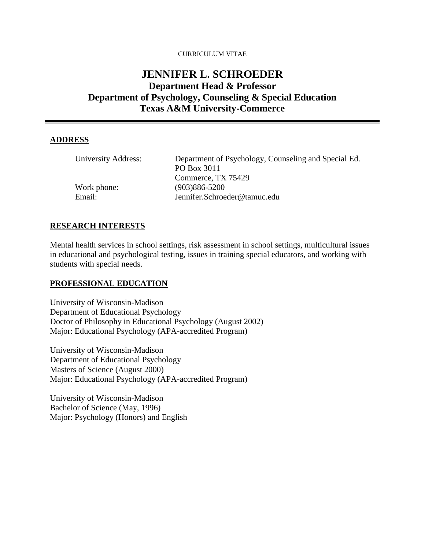#### CURRICULUM VITAE

# **JENNIFER L. SCHROEDER Department Head & Professor Department of Psychology, Counseling & Special Education Texas A&M University-Commerce**

#### **ADDRESS**

| University Address: | Department of Psychology, Counseling and Special Ed. |
|---------------------|------------------------------------------------------|
|                     | PO Box 3011                                          |
|                     | Commerce, TX 75429                                   |
| Work phone:         | $(903)886 - 5200$                                    |
| Email:              | Jennifer.Schroeder@tamuc.edu                         |

#### **RESEARCH INTERESTS**

Mental health services in school settings, risk assessment in school settings, multicultural issues in educational and psychological testing, issues in training special educators, and working with students with special needs.

#### **PROFESSIONAL EDUCATION**

University of Wisconsin-Madison Department of Educational Psychology Doctor of Philosophy in Educational Psychology (August 2002) Major: Educational Psychology (APA-accredited Program)

University of Wisconsin-Madison Department of Educational Psychology Masters of Science (August 2000) Major: Educational Psychology (APA-accredited Program)

University of Wisconsin-Madison Bachelor of Science (May, 1996) Major: Psychology (Honors) and English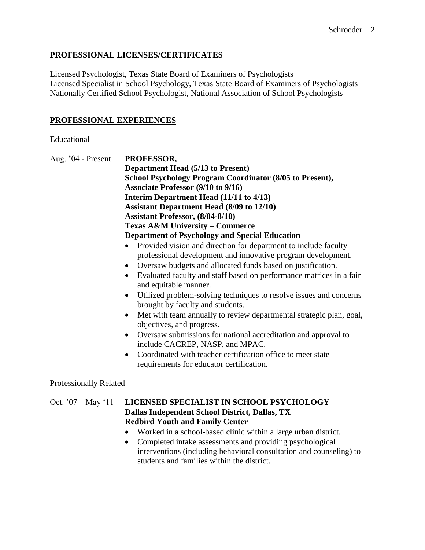# **PROFESSIONAL LICENSES/CERTIFICATES**

Licensed Psychologist, Texas State Board of Examiners of Psychologists Licensed Specialist in School Psychology, Texas State Board of Examiners of Psychologists Nationally Certified School Psychologist, National Association of School Psychologists

# **PROFESSIONAL EXPERIENCES**

### **Educational**

| Aug. '04 - Present            | PROFESSOR,<br><b>Department Head (5/13 to Present)</b>                                                                                                                                                                                                                                                                                                                                                                                                                                                                                                                                                                                                                                                                                                                                                     |  |  |
|-------------------------------|------------------------------------------------------------------------------------------------------------------------------------------------------------------------------------------------------------------------------------------------------------------------------------------------------------------------------------------------------------------------------------------------------------------------------------------------------------------------------------------------------------------------------------------------------------------------------------------------------------------------------------------------------------------------------------------------------------------------------------------------------------------------------------------------------------|--|--|
|                               |                                                                                                                                                                                                                                                                                                                                                                                                                                                                                                                                                                                                                                                                                                                                                                                                            |  |  |
|                               | School Psychology Program Coordinator (8/05 to Present),                                                                                                                                                                                                                                                                                                                                                                                                                                                                                                                                                                                                                                                                                                                                                   |  |  |
|                               | Associate Professor (9/10 to 9/16)<br>Interim Department Head (11/11 to 4/13)<br><b>Assistant Department Head (8/09 to 12/10)</b><br><b>Assistant Professor, (8/04-8/10)</b><br><b>Texas A&amp;M University - Commerce</b><br><b>Department of Psychology and Special Education</b>                                                                                                                                                                                                                                                                                                                                                                                                                                                                                                                        |  |  |
|                               |                                                                                                                                                                                                                                                                                                                                                                                                                                                                                                                                                                                                                                                                                                                                                                                                            |  |  |
|                               |                                                                                                                                                                                                                                                                                                                                                                                                                                                                                                                                                                                                                                                                                                                                                                                                            |  |  |
|                               |                                                                                                                                                                                                                                                                                                                                                                                                                                                                                                                                                                                                                                                                                                                                                                                                            |  |  |
|                               |                                                                                                                                                                                                                                                                                                                                                                                                                                                                                                                                                                                                                                                                                                                                                                                                            |  |  |
|                               |                                                                                                                                                                                                                                                                                                                                                                                                                                                                                                                                                                                                                                                                                                                                                                                                            |  |  |
|                               | Provided vision and direction for department to include faculty<br>professional development and innovative program development.<br>Oversaw budgets and allocated funds based on justification.<br>$\bullet$<br>Evaluated faculty and staff based on performance matrices in a fair<br>$\bullet$<br>and equitable manner.<br>Utilized problem-solving techniques to resolve issues and concerns<br>$\bullet$<br>brought by faculty and students.<br>Met with team annually to review departmental strategic plan, goal,<br>$\bullet$<br>objectives, and progress.<br>Oversaw submissions for national accreditation and approval to<br>$\bullet$<br>include CACREP, NASP, and MPAC.<br>Coordinated with teacher certification office to meet state<br>$\bullet$<br>requirements for educator certification. |  |  |
| <b>Professionally Related</b> |                                                                                                                                                                                                                                                                                                                                                                                                                                                                                                                                                                                                                                                                                                                                                                                                            |  |  |
| Oct. '07 - May '11            | LICENSED SPECIALIST IN SCHOOL PSYCHOLOGY<br>Dallas Independent School District, Dallas, TX<br><b>Redbird Youth and Family Center</b><br>Worked in a school-based clinic within a large urban district.<br>Completed intake assessments and providing psychological<br>$\bullet$<br>interventions (including behavioral consultation and counseling) to<br>students and families within the district.                                                                                                                                                                                                                                                                                                                                                                                                       |  |  |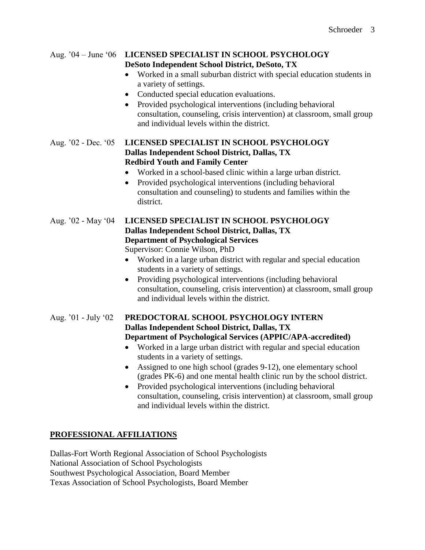| Aug. $04 - June 06$ | LICENSED SPECIALIST IN SCHOOL PSYCHOLOGY<br>DeSoto Independent School District, DeSoto, TX<br>Worked in a small suburban district with special education students in<br>a variety of settings.<br>Conducted special education evaluations.<br>$\bullet$<br>Provided psychological interventions (including behavioral<br>$\bullet$<br>consultation, counseling, crisis intervention) at classroom, small group<br>and individual levels within the district.                                                                                                                                                                                    |
|---------------------|-------------------------------------------------------------------------------------------------------------------------------------------------------------------------------------------------------------------------------------------------------------------------------------------------------------------------------------------------------------------------------------------------------------------------------------------------------------------------------------------------------------------------------------------------------------------------------------------------------------------------------------------------|
| Aug. '02 - Dec. '05 | LICENSED SPECIALIST IN SCHOOL PSYCHOLOGY<br>Dallas Independent School District, Dallas, TX<br><b>Redbird Youth and Family Center</b><br>Worked in a school-based clinic within a large urban district.<br>Provided psychological interventions (including behavioral<br>$\bullet$<br>consultation and counseling) to students and families within the<br>district.                                                                                                                                                                                                                                                                              |
| Aug. '02 - May '04  | LICENSED SPECIALIST IN SCHOOL PSYCHOLOGY<br>Dallas Independent School District, Dallas, TX<br><b>Department of Psychological Services</b><br>Supervisor: Connie Wilson, PhD<br>Worked in a large urban district with regular and special education<br>$\bullet$<br>students in a variety of settings.<br>Providing psychological interventions (including behavioral<br>$\bullet$<br>consultation, counseling, crisis intervention) at classroom, small group<br>and individual levels within the district.                                                                                                                                     |
| Aug. '01 - July '02 | PREDOCTORAL SCHOOL PSYCHOLOGY INTERN<br>Dallas Independent School District, Dallas, TX<br>Department of Psychological Services (APPIC/APA-accredited)<br>Worked in a large urban district with regular and special education<br>$\bullet$<br>students in a variety of settings.<br>Assigned to one high school (grades 9-12), one elementary school<br>$\bullet$<br>(grades PK-6) and one mental health clinic run by the school district.<br>Provided psychological interventions (including behavioral<br>$\bullet$<br>consultation, counseling, crisis intervention) at classroom, small group<br>and individual levels within the district. |

# **PROFESSIONAL AFFILIATIONS**

Dallas-Fort Worth Regional Association of School Psychologists National Association of School Psychologists Southwest Psychological Association, Board Member Texas Association of School Psychologists, Board Member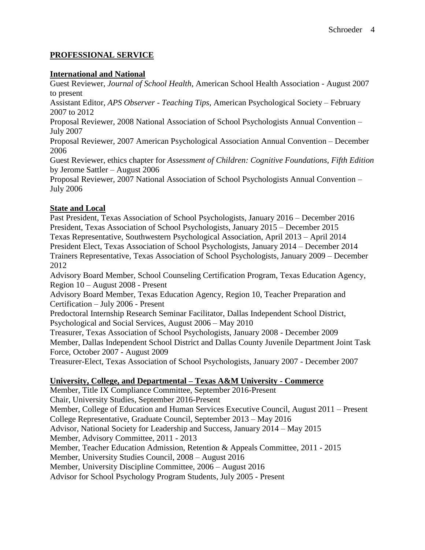### **PROFESSIONAL SERVICE**

#### **International and National**

Guest Reviewer, *Journal of School Health*, American School Health Association - August 2007 to present

Assistant Editor, *APS Observer - Teaching Tips*, American Psychological Society – February 2007 to 2012

Proposal Reviewer, 2008 National Association of School Psychologists Annual Convention – July 2007

Proposal Reviewer, 2007 American Psychological Association Annual Convention – December 2006

Guest Reviewer, ethics chapter for *Assessment of Children: Cognitive Foundations, Fifth Edition*  by Jerome Sattler – August 2006

Proposal Reviewer, 2007 National Association of School Psychologists Annual Convention – July 2006

### **State and Local**

Past President, Texas Association of School Psychologists, January 2016 – December 2016 President, Texas Association of School Psychologists, January 2015 – December 2015 Texas Representative, Southwestern Psychological Association, April 2013 – April 2014 President Elect, Texas Association of School Psychologists, January 2014 – December 2014 Trainers Representative, Texas Association of School Psychologists, January 2009 – December 2012

Advisory Board Member, School Counseling Certification Program, Texas Education Agency, Region 10 – August 2008 - Present

Advisory Board Member, Texas Education Agency, Region 10, Teacher Preparation and Certification – July 2006 - Present

Predoctoral Internship Research Seminar Facilitator, Dallas Independent School District, Psychological and Social Services, August 2006 – May 2010

Treasurer, Texas Association of School Psychologists, January 2008 - December 2009 Member, Dallas Independent School District and Dallas County Juvenile Department Joint Task Force, October 2007 - August 2009

Treasurer-Elect, Texas Association of School Psychologists, January 2007 - December 2007

# **University, College, and Departmental – Texas A&M University - Commerce**

Member, Title IX Compliance Committee, September 2016-Present Chair, University Studies, September 2016-Present Member, College of Education and Human Services Executive Council, August 2011 – Present College Representative, Graduate Council, September 2013 – May 2016 Advisor, National Society for Leadership and Success, January 2014 – May 2015 Member, Advisory Committee, 2011 - 2013 Member, Teacher Education Admission, Retention & Appeals Committee, 2011 - 2015 Member, University Studies Council, 2008 – August 2016 Member, University Discipline Committee, 2006 – August 2016 Advisor for School Psychology Program Students, July 2005 - Present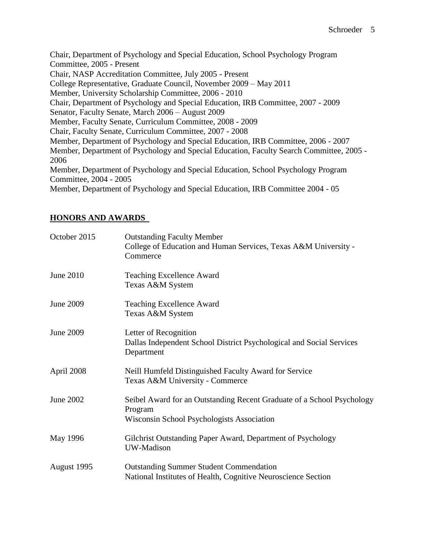Chair, Department of Psychology and Special Education, School Psychology Program Committee, 2005 - Present Chair, NASP Accreditation Committee, July 2005 - Present College Representative, Graduate Council, November 2009 – May 2011 Member, University Scholarship Committee, 2006 - 2010 Chair, Department of Psychology and Special Education, IRB Committee, 2007 - 2009 Senator, Faculty Senate, March 2006 – August 2009 Member, Faculty Senate, Curriculum Committee, 2008 - 2009 Chair, Faculty Senate, Curriculum Committee, 2007 - 2008 Member, Department of Psychology and Special Education, IRB Committee, 2006 - 2007 Member, Department of Psychology and Special Education, Faculty Search Committee, 2005 - 2006 Member, Department of Psychology and Special Education, School Psychology Program Committee, 2004 - 2005 Member, Department of Psychology and Special Education, IRB Committee 2004 - 05

# **HONORS AND AWARDS**

| October 2015     | <b>Outstanding Faculty Member</b><br>College of Education and Human Services, Texas A&M University -<br>Commerce                |
|------------------|---------------------------------------------------------------------------------------------------------------------------------|
| June 2010        | <b>Teaching Excellence Award</b><br>Texas A&M System                                                                            |
| June 2009        | <b>Teaching Excellence Award</b><br>Texas A&M System                                                                            |
| <b>June 2009</b> | Letter of Recognition<br>Dallas Independent School District Psychological and Social Services<br>Department                     |
| April 2008       | Neill Humfeld Distinguished Faculty Award for Service<br>Texas A&M University - Commerce                                        |
| June 2002        | Seibel Award for an Outstanding Recent Graduate of a School Psychology<br>Program<br>Wisconsin School Psychologists Association |
| May 1996         | Gilchrist Outstanding Paper Award, Department of Psychology<br>UW-Madison                                                       |
| August 1995      | <b>Outstanding Summer Student Commendation</b><br>National Institutes of Health, Cognitive Neuroscience Section                 |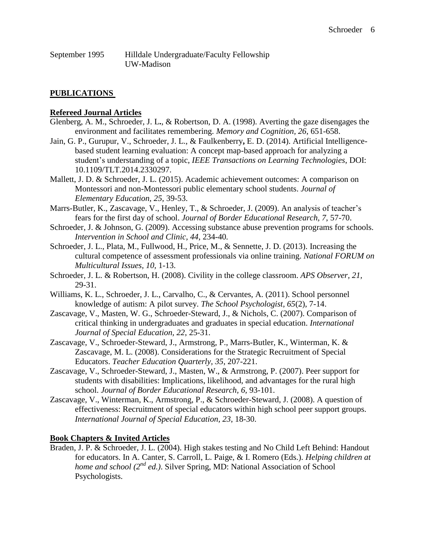| September 1995 | Hilldale Undergraduate/Faculty Fellowship |
|----------------|-------------------------------------------|
|                | UW-Madison                                |

### **PUBLICATIONS**

#### **Refereed Journal Articles**

- Glenberg, A. M., Schroeder, J. L**.**, & Robertson, D. A. (1998). Averting the gaze disengages the environment and facilitates remembering. *Memory and Cognition, 26*, 651-658.
- Jain, G. P., Gurupur, V., Schroeder, J. L., & Faulkenberry**,** E. D. (2014). Artificial Intelligencebased student learning evaluation: A concept map-based approach for analyzing a student's understanding of a topic, *IEEE Transactions on Learning Technologies*, DOI: 10.1109/TLT.2014.2330297.
- Mallett, J. D. & Schroeder, J. L. (2015). Academic achievement outcomes: A comparison on Montessori and non-Montessori public elementary school students. *Journal of Elementary Education, 25,* 39-53.
- Marrs-Butler, K., Zascavage, V., Henley, T., & Schroeder, J. (2009). An analysis of teacher's fears for the first day of school. *Journal of Border Educational Research, 7*, 57-70.
- Schroeder, J. & Johnson, G. (2009). Accessing substance abuse prevention programs for schools. *Intervention in School and Clinic, 44*, 234-40*.*
- Schroeder, J. L., Plata, M., Fullwood, H., Price, M., & Sennette, J. D. (2013). Increasing the cultural competence of assessment professionals via online training. *National FORUM on Multicultural Issues, 10,* 1-13.
- Schroeder, J. L. & Robertson, H. (2008). Civility in the college classroom. *APS Observer, 21,*  29-31.
- Williams, K. L., Schroeder, J. L., Carvalho, C., & Cervantes, A. (2011). School personnel knowledge of autism: A pilot survey. *The School Psychologist, 65*(2), 7-14.
- Zascavage, V., Masten, W. G., Schroeder-Steward, J., & Nichols, C. (2007). Comparison of critical thinking in undergraduates and graduates in special education. *International Journal of Special Education, 22*, 25-31.
- Zascavage, V., Schroeder-Steward, J., Armstrong, P., Marrs-Butler, K., Winterman, K. & Zascavage, M. L. (2008). Considerations for the Strategic Recruitment of Special Educators. *Teacher Education Quarterly, 35*, 207-221.
- Zascavage, V., Schroeder-Steward, J., Masten, W., & Armstrong, P. (2007). Peer support for students with disabilities: Implications, likelihood, and advantages for the rural high school. *Journal of Border Educational Research, 6,* 93-101.
- Zascavage, V., Winterman, K., Armstrong, P., & Schroeder-Steward, J. (2008). A question of effectiveness: Recruitment of special educators within high school peer support groups. *International Journal of Special Education, 23*, 18-30.

#### **Book Chapters & Invited Articles**

Braden, J. P. & Schroeder, J. L. (2004). High stakes testing and No Child Left Behind: Handout for educators. In A. Canter, S. Carroll, L. Paige, & I. Romero (Eds.). *Helping children at home and school (2<sup>nd</sup> ed.)*. Silver Spring, MD: National Association of School Psychologists.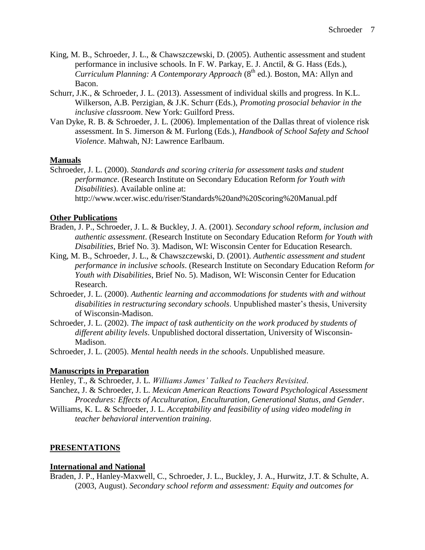- King, M. B., Schroeder, J. L., & Chawszczewski, D. (2005). Authentic assessment and student performance in inclusive schools. In F. W. Parkay, E. J. Anctil, & G. Hass (Eds.), *Curriculum Planning: A Contemporary Approach* (8<sup>th</sup> ed.). Boston, MA: Allyn and Bacon.
- Schurr, J.K., & Schroeder, J. L. (2013). Assessment of individual skills and progress. In K.L. Wilkerson, A.B. Perzigian, & J.K. Schurr (Eds.), *Promoting prosocial behavior in the inclusive classroom*. New York: Guilford Press.
- Van Dyke, R. B. & Schroeder, J. L. (2006). Implementation of the Dallas threat of violence risk assessment. In S. Jimerson & M. Furlong (Eds.), *Handbook of School Safety and School Violence*. Mahwah, NJ: Lawrence Earlbaum.

# **Manuals**

Schroeder, J. L. (2000). *Standards and scoring criteria for assessment tasks and student performance*. (Research Institute on Secondary Education Reform *for Youth with Disabilities*). Available online at: http://www.wcer.wisc.edu/riser/Standards%20and%20Scoring%20Manual.pdf

# **Other Publications**

- Braden, J. P., Schroeder, J. L. & Buckley, J. A. (2001). *Secondary school reform, inclusion and authentic assessment*. (Research Institute on Secondary Education Reform *for Youth with Disabilities*, Brief No. 3). Madison, WI: Wisconsin Center for Education Research.
- King, M. B., Schroeder, J. L., & Chawszczewski, D. (2001). *Authentic assessment and student performance in inclusive schools*. (Research Institute on Secondary Education Reform *for Youth with Disabilities*, Brief No. 5). Madison, WI: Wisconsin Center for Education Research.
- Schroeder, J. L. (2000). *Authentic learning and accommodations for students with and without disabilities in restructuring secondary schools*. Unpublished master's thesis, University of Wisconsin-Madison.
- Schroeder, J. L. (2002). *The impact of task authenticity on the work produced by students of different ability levels*. Unpublished doctoral dissertation, University of Wisconsin-Madison.

Schroeder, J. L. (2005). *Mental health needs in the schools*. Unpublished measure.

# **Manuscripts in Preparation**

Henley, T., & Schroeder, J. L. *Williams James' Talked to Teachers Revisited*.

- Sanchez, J. & Schroeder, J. L. *Mexican American Reactions Toward Psychological Assessment Procedures: Effects of Acculturation, Enculturation, Generational Status, and Gender*.
- Williams, K. L. & Schroeder, J. L. *Acceptability and feasibility of using video modeling in teacher behavioral intervention training*.

# **PRESENTATIONS**

# **International and National**

Braden, J. P., Hanley-Maxwell, C., Schroeder, J. L., Buckley, J. A., Hurwitz, J.T. & Schulte, A. (2003, August). *Secondary school reform and assessment: Equity and outcomes for*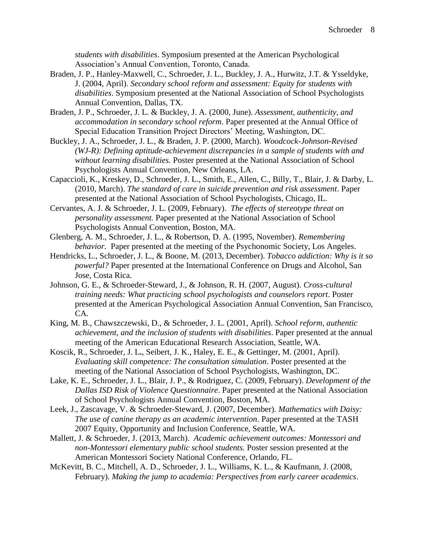*students with disabilities*. Symposium presented at the American Psychological Association's Annual Convention, Toronto, Canada.

- Braden, J. P., Hanley-Maxwell, C., Schroeder, J. L., Buckley, J. A., Hurwitz, J.T. & Ysseldyke, J. (2004, April). *Secondary school reform and assessment: Equity for students with disabilities*. Symposium presented at the National Association of School Psychologists Annual Convention, Dallas, TX.
- Braden, J. P., Schroeder, J. L. & Buckley, J. A. (2000, June). *Assessment, authenticity, and accommodation in secondary school reform*. Paper presented at the Annual Office of Special Education Transition Project Directors' Meeting, Washington, DC.
- Buckley, J. A., Schroeder, J. L., & Braden, J. P. (2000, March). *Woodcock-Johnson-Revised (WJ-R): Defining aptitude-achievement discrepancies in a sample of students with and without learning disabilities.* Poster presented at the National Association of School Psychologists Annual Convention, New Orleans, LA.
- Capaccioli, K., Kreskey, D., Schroeder, J. L., Smith, E., Allen, C., Billy, T., Blair, J. & Darby, L. (2010, March). *The standard of care in suicide prevention and risk assessment*. Paper presented at the National Association of School Psychologists, Chicago, IL.
- Cervantes, A. J. & Schroeder, J. L. (2009, February). *The effects of stereotype threat on personality assessment.* Paper presented at the National Association of School Psychologists Annual Convention, Boston, MA.
- Glenberg, A. M., Schroeder, J. L., & Robertson, D. A. (1995, November). *Remembering behavior.* Paper presented at the meeting of the Psychonomic Society, Los Angeles.
- Hendricks, L., Schroeder, J. L., & Boone, M. (2013, December). *Tobacco addiction: Why is it so powerful?* Paper presented at the International Conference on Drugs and Alcohol, San Jose, Costa Rica.
- Johnson, G. E., & Schroeder-Steward, J., & Johnson, R. H. (2007, August). *Cross-cultural training needs: What practicing school psychologists and counselors report*. Poster presented at the American Psychological Association Annual Convention, San Francisco, CA.
- King, M. B., Chawszczewski, D., & Schroeder, J. L. (2001, April). *School reform, authentic achievement, and the inclusion of students with disabilities*. Paper presented at the annual meeting of the American Educational Research Association, Seattle, WA.
- Koscik, R., Schroeder, J. L**.**, Seibert, J. K., Haley, E. E., & Gettinger, M. (2001, April). *Evaluating skill competence: The consultation simulation*. Poster presented at the meeting of the National Association of School Psychologists, Washington, DC.
- Lake, K. E., Schroeder, J. L., Blair, J. P., & Rodriguez, C. (2009, February). *Development of the Dallas ISD Risk of Violence Questionnaire*. Paper presented at the National Association of School Psychologists Annual Convention, Boston, MA.
- Leek, J., Zascavage, V. & Schroeder-Steward, J. (2007, December). *Mathematics with Daisy: The use of canine therapy as an academic intervention*. Paper presented at the TASH 2007 Equity, Opportunity and Inclusion Conference, Seattle, WA.
- Mallett, J. & Schroeder, J. (2013, March). *Academic achievement outcomes: Montessori and non-Montessori elementary public school students.* Poster session presented at the American Montessori Society National Conference, Orlando, FL.
- McKevitt, B. C., Mitchell, A. D., Schroeder, J. L., Williams, K. L., & Kaufmann, J. (2008, February). *Making the jump to academia: Perspectives from early career academics*.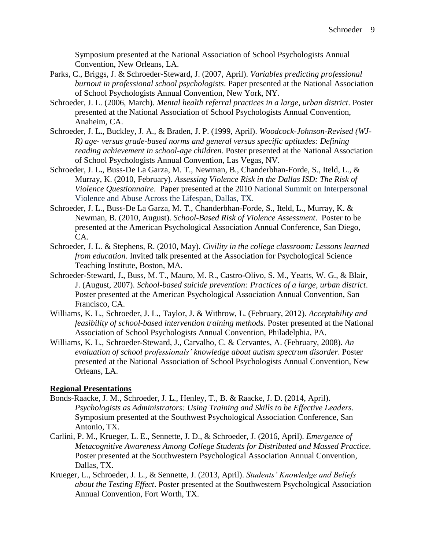Symposium presented at the National Association of School Psychologists Annual Convention, New Orleans, LA.

- Parks, C., Briggs, J. & Schroeder-Steward, J. (2007, April). *Variables predicting professional burnout in professional school psychologists*. Paper presented at the National Association of School Psychologists Annual Convention, New York, NY.
- Schroeder, J. L. (2006, March). *Mental health referral practices in a large, urban district*. Poster presented at the National Association of School Psychologists Annual Convention, Anaheim, CA.
- Schroeder, J. L**.**, Buckley, J. A., & Braden, J. P. (1999, April). *Woodcock-Johnson-Revised (WJ-R) age- versus grade-based norms and general versus specific aptitudes: Defining reading achievement in school-age children.* Poster presented at the National Association of School Psychologists Annual Convention, Las Vegas, NV.
- Schroeder, J. L**.**, Buss-De La Garza, M. T., Newman, B., Chanderbhan-Forde, S., Iteld, L., & Murray, K. (2010, February). *Assessing Violence Risk in the Dallas ISD: The Risk of Violence Questionnaire*. Paper presented at the 2010 National Summit on Interpersonal Violence and Abuse Across the Lifespan, Dallas, TX.
- Schroeder, J. L., Buss-De La Garza, M. T., Chanderbhan-Forde, S., Iteld, L., Murray, K. & Newman, B. (2010, August). *School-Based Risk of Violence Assessment*. Poster to be presented at the American Psychological Association Annual Conference, San Diego, CA.
- Schroeder, J. L. & Stephens, R. (2010, May). *Civility in the college classroom: Lessons learned from education.* Invited talk presented at the Association for Psychological Science Teaching Institute, Boston, MA.
- Schroeder-Steward, J**.**, Buss, M. T., Mauro, M. R., Castro-Olivo, S. M., Yeatts, W. G., & Blair, J. (August, 2007). *School-based suicide prevention: Practices of a large, urban district*. Poster presented at the American Psychological Association Annual Convention, San Francisco, CA.
- Williams, K. L., Schroeder, J. L**.**, Taylor, J. & Withrow, L. (February, 2012). *Acceptability and feasibility of school-based intervention training methods.* Poster presented at the National Association of School Psychologists Annual Convention, Philadelphia, PA.
- Williams, K. L., Schroeder-Steward, J., Carvalho, C. & Cervantes, A. (February, 2008). *An evaluation of school professionals' knowledge about autism spectrum disorder*. Poster presented at the National Association of School Psychologists Annual Convention, New Orleans, LA.

# **Regional Presentations**

- Bonds-Raacke, J. M., Schroeder, J. L., Henley, T., B. & Raacke, J. D. (2014, April). *Psychologists as Administrators: Using Training and Skills to be Effective Leaders.* Symposium presented at the Southwest Psychological Association Conference, San Antonio, TX.
- Carlini, P. M., Krueger, L. E., Sennette, J. D., & Schroeder, J. (2016, April). *Emergence of Metacognitive Awareness Among College Students for Distributed and Massed Practice*. Poster presented at the Southwestern Psychological Association Annual Convention, Dallas, TX.
- Krueger, L., Schroeder, J. L., & Sennette, J. (2013, April). *Students' Knowledge and Beliefs about the Testing Effect*. Poster presented at the Southwestern Psychological Association Annual Convention, Fort Worth, TX.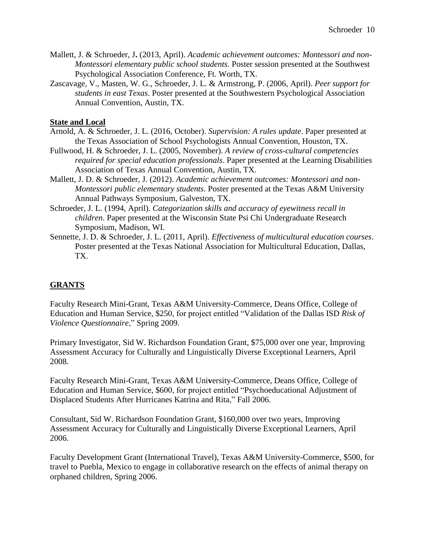- Mallett, J. & Schroeder, J**.** (2013, April). *Academic achievement outcomes: Montessori and non-Montessori elementary public school students.* Poster session presented at the Southwest Psychological Association Conference, Ft. Worth, TX.
- Zascavage, V., Masten, W. G., Schroeder, J. L. & Armstrong, P. (2006, April). *Peer support for students in east Texas*. Poster presented at the Southwestern Psychological Association Annual Convention, Austin, TX.

### **State and Local**

- Arnold, A. & Schroeder, J. L. (2016, October). *Supervision: A rules update*. Paper presented at the Texas Association of School Psychologists Annual Convention, Houston, TX.
- Fullwood, H. & Schroeder, J. L. (2005, November). *A review of cross-cultural competencies required for special education professionals*. Paper presented at the Learning Disabilities Association of Texas Annual Convention, Austin, TX.
- Mallett, J. D. & Schroeder, J. (2012). *Academic achievement outcomes: Montessori and non-Montessori public elementary students*. Poster presented at the Texas A&M University Annual Pathways Symposium, Galveston, TX.
- Schroeder, J. L. (1994, April). *Categorization skills and accuracy of eyewitness recall in children*. Paper presented at the Wisconsin State Psi Chi Undergraduate Research Symposium, Madison, WI.
- Sennette, J. D. & Schroeder, J. L. (2011, April). *Effectiveness of multicultural education courses*. Poster presented at the Texas National Association for Multicultural Education, Dallas, TX.

# **GRANTS**

Faculty Research Mini-Grant, Texas A&M University-Commerce, Deans Office, College of Education and Human Service, \$250, for project entitled "Validation of the Dallas ISD *Risk of Violence Questionnaire*," Spring 2009.

Primary Investigator, Sid W. Richardson Foundation Grant, \$75,000 over one year, Improving Assessment Accuracy for Culturally and Linguistically Diverse Exceptional Learners, April 2008.

Faculty Research Mini-Grant, Texas A&M Uni**v**ersity-Commerce, Deans Office, College of Education and Human Service, \$600, for project entitled "Psychoeducational Adjustment of Displaced Students After Hurricanes Katrina and Rita," Fall 2006.

Consultant, Sid W. Richardson Foundation Grant, \$160,000 over two years, Improving Assessment Accuracy for Culturally and Linguistically Diverse Exceptional Learners, April 2006.

Faculty Development Grant (International Travel), Texas A&M University-Commerce, \$500, for travel to Puebla, Mexico to engage in collaborative research on the effects of animal therapy on orphaned children, Spring 2006.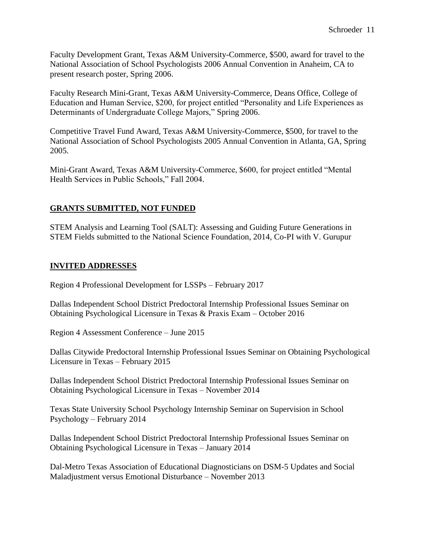Faculty Development Grant, Texas A&M University-Commerce, \$500, award for travel to the National Association of School Psychologists 2006 Annual Convention in Anaheim, CA to present research poster, Spring 2006.

Faculty Research Mini-Grant, Texas A&M University-Commerce, Deans Office, College of Education and Human Service, \$200, for project entitled "Personality and Life Experiences as Determinants of Undergraduate College Majors," Spring 2006.

Competitive Travel Fund Award, Texas A&M University-Commerce, \$500, for travel to the National Association of School Psychologists 2005 Annual Convention in Atlanta, GA, Spring 2005.

Mini-Grant Award, Texas A&M University-Commerce, \$600, for project entitled "Mental Health Services in Public Schools," Fall 2004.

# **GRANTS SUBMITTED, NOT FUNDED**

STEM Analysis and Learning Tool (SALT): Assessing and Guiding Future Generations in STEM Fields submitted to the National Science Foundation, 2014, Co-PI with V. Gurupur

# **INVITED ADDRESSES**

Region 4 Professional Development for LSSPs – February 2017

Dallas Independent School District Predoctoral Internship Professional Issues Seminar on Obtaining Psychological Licensure in Texas & Praxis Exam – October 2016

Region 4 Assessment Conference – June 2015

Dallas Citywide Predoctoral Internship Professional Issues Seminar on Obtaining Psychological Licensure in Texas – February 2015

Dallas Independent School District Predoctoral Internship Professional Issues Seminar on Obtaining Psychological Licensure in Texas – November 2014

Texas State University School Psychology Internship Seminar on Supervision in School Psychology – February 2014

Dallas Independent School District Predoctoral Internship Professional Issues Seminar on Obtaining Psychological Licensure in Texas – January 2014

Dal-Metro Texas Association of Educational Diagnosticians on DSM-5 Updates and Social Maladjustment versus Emotional Disturbance – November 2013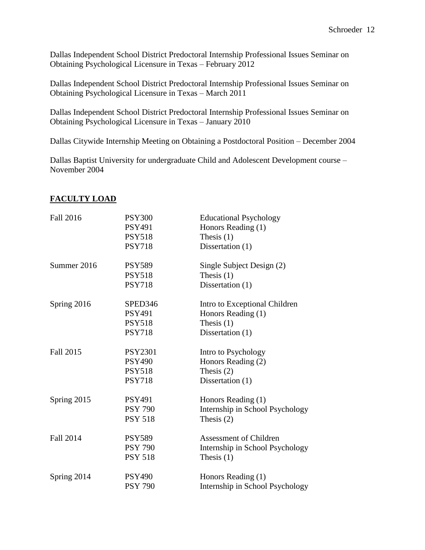Dallas Independent School District Predoctoral Internship Professional Issues Seminar on Obtaining Psychological Licensure in Texas – February 2012

Dallas Independent School District Predoctoral Internship Professional Issues Seminar on Obtaining Psychological Licensure in Texas – March 2011

Dallas Independent School District Predoctoral Internship Professional Issues Seminar on Obtaining Psychological Licensure in Texas – January 2010

Dallas Citywide Internship Meeting on Obtaining a Postdoctoral Position – December 2004

Dallas Baptist University for undergraduate Child and Adolescent Development course – November 2004

| <b>Fall 2016</b> | <b>PSY300</b><br><b>PSY491</b><br><b>PSY518</b><br><b>PSY718</b>  | <b>Educational Psychology</b><br>Honors Reading (1)<br>Thesis $(1)$<br>Dissertation (1) |
|------------------|-------------------------------------------------------------------|-----------------------------------------------------------------------------------------|
| Summer 2016      | <b>PSY589</b><br><b>PSY518</b><br><b>PSY718</b>                   | Single Subject Design (2)<br>Thesis $(1)$<br>Dissertation (1)                           |
| Spring 2016      | SPED346<br><b>PSY491</b><br><b>PSY518</b><br><b>PSY718</b>        | Intro to Exceptional Children<br>Honors Reading (1)<br>Thesis $(1)$<br>Dissertation (1) |
| Fall 2015        | <b>PSY2301</b><br><b>PSY490</b><br><b>PSY518</b><br><b>PSY718</b> | Intro to Psychology<br>Honors Reading (2)<br>Thesis $(2)$<br>Dissertation (1)           |
| Spring 2015      | <b>PSY491</b><br><b>PSY 790</b><br><b>PSY 518</b>                 | Honors Reading (1)<br>Internship in School Psychology<br>Thesis $(2)$                   |
| <b>Fall 2014</b> | <b>PSY589</b><br><b>PSY 790</b><br><b>PSY 518</b>                 | Assessment of Children<br>Internship in School Psychology<br>Thesis $(1)$               |
| Spring 2014      | <b>PSY490</b><br><b>PSY 790</b>                                   | Honors Reading (1)<br>Internship in School Psychology                                   |

# **FACULTY LOAD**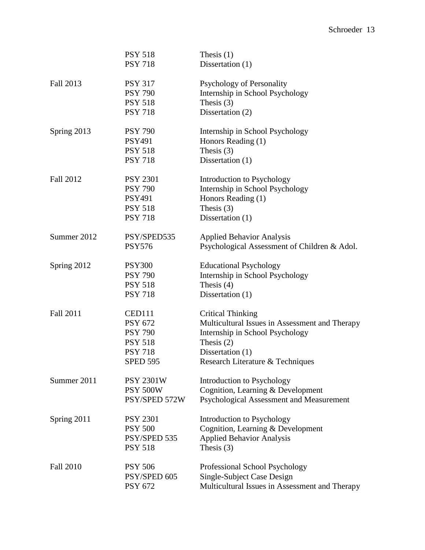|                  | <b>PSY 518</b><br><b>PSY 718</b> | Thesis $(1)$<br>Dissertation (1)               |
|------------------|----------------------------------|------------------------------------------------|
| Fall 2013        | <b>PSY 317</b>                   | Psychology of Personality                      |
|                  | <b>PSY 790</b>                   | Internship in School Psychology                |
|                  | <b>PSY 518</b>                   | Thesis $(3)$                                   |
|                  | <b>PSY 718</b>                   | Dissertation (2)                               |
| Spring 2013      | <b>PSY 790</b>                   | Internship in School Psychology                |
|                  | <b>PSY491</b>                    | Honors Reading (1)                             |
|                  | <b>PSY 518</b>                   | Thesis $(3)$                                   |
|                  | <b>PSY 718</b>                   | Dissertation (1)                               |
| <b>Fall 2012</b> | <b>PSY 2301</b>                  | Introduction to Psychology                     |
|                  | <b>PSY 790</b>                   | Internship in School Psychology                |
|                  | <b>PSY491</b>                    | Honors Reading (1)                             |
|                  | <b>PSY 518</b>                   | Thesis $(3)$                                   |
|                  | <b>PSY 718</b>                   | Dissertation (1)                               |
| Summer 2012      | PSY/SPED535                      | <b>Applied Behavior Analysis</b>               |
|                  | <b>PSY576</b>                    | Psychological Assessment of Children & Adol.   |
| Spring 2012      | <b>PSY300</b>                    | <b>Educational Psychology</b>                  |
|                  | <b>PSY 790</b>                   | Internship in School Psychology                |
|                  | <b>PSY 518</b>                   | Thesis $(4)$                                   |
|                  | <b>PSY 718</b>                   | Dissertation (1)                               |
| Fall 2011        | <b>CED111</b>                    | <b>Critical Thinking</b>                       |
|                  | <b>PSY 672</b>                   | Multicultural Issues in Assessment and Therapy |
|                  | <b>PSY 790</b>                   | Internship in School Psychology                |
|                  | <b>PSY 518</b>                   | Thesis $(2)$                                   |
|                  | <b>PSY 718</b>                   | Dissertation (1)                               |
|                  | <b>SPED 595</b>                  | Research Literature & Techniques               |
| Summer 2011      | <b>PSY 2301W</b>                 | Introduction to Psychology                     |
|                  | <b>PSY 500W</b>                  | Cognition, Learning & Development              |
|                  | PSY/SPED 572W                    | Psychological Assessment and Measurement       |
| Spring 2011      | <b>PSY 2301</b>                  | Introduction to Psychology                     |
|                  | <b>PSY 500</b>                   | Cognition, Learning & Development              |
|                  | PSY/SPED 535                     | <b>Applied Behavior Analysis</b>               |
|                  | <b>PSY 518</b>                   | Thesis $(3)$                                   |
| <b>Fall 2010</b> | <b>PSY 506</b>                   | Professional School Psychology                 |
|                  | PSY/SPED 605                     | Single-Subject Case Design                     |
|                  | PSY 672                          | Multicultural Issues in Assessment and Therapy |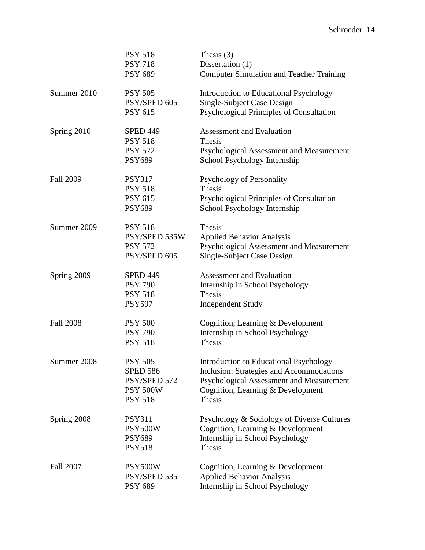|                  | <b>PSY 518</b><br><b>PSY 718</b><br><b>PSY 689</b>                                     | Thesis $(3)$<br>Dissertation (1)<br><b>Computer Simulation and Teacher Training</b>                                                                                                         |
|------------------|----------------------------------------------------------------------------------------|---------------------------------------------------------------------------------------------------------------------------------------------------------------------------------------------|
| Summer 2010      | <b>PSY 505</b><br>PSY/SPED 605<br><b>PSY 615</b>                                       | <b>Introduction to Educational Psychology</b><br>Single-Subject Case Design<br>Psychological Principles of Consultation                                                                     |
| Spring 2010      | <b>SPED 449</b><br><b>PSY 518</b><br><b>PSY 572</b><br><b>PSY689</b>                   | <b>Assessment and Evaluation</b><br>Thesis<br>Psychological Assessment and Measurement<br>School Psychology Internship                                                                      |
| <b>Fall 2009</b> | <b>PSY317</b><br><b>PSY 518</b><br><b>PSY 615</b><br><b>PSY689</b>                     | <b>Psychology of Personality</b><br><b>Thesis</b><br>Psychological Principles of Consultation<br>School Psychology Internship                                                               |
| Summer 2009      | <b>PSY 518</b><br>PSY/SPED 535W<br><b>PSY 572</b><br>PSY/SPED 605                      | Thesis<br><b>Applied Behavior Analysis</b><br>Psychological Assessment and Measurement<br>Single-Subject Case Design                                                                        |
| Spring 2009      | <b>SPED 449</b><br><b>PSY 790</b><br><b>PSY 518</b><br><b>PSY597</b>                   | <b>Assessment and Evaluation</b><br>Internship in School Psychology<br><b>Thesis</b><br><b>Independent Study</b>                                                                            |
| <b>Fall 2008</b> | <b>PSY 500</b><br><b>PSY 790</b><br><b>PSY 518</b>                                     | Cognition, Learning & Development<br>Internship in School Psychology<br>Thesis                                                                                                              |
| Summer 2008      | <b>PSY 505</b><br><b>SPED 586</b><br>PSY/SPED 572<br><b>PSY 500W</b><br><b>PSY 518</b> | <b>Introduction to Educational Psychology</b><br>Inclusion: Strategies and Accommodations<br>Psychological Assessment and Measurement<br>Cognition, Learning & Development<br><b>Thesis</b> |
| Spring 2008      | <b>PSY311</b><br>PSY500W<br><b>PSY689</b><br><b>PSY518</b>                             | Psychology & Sociology of Diverse Cultures<br>Cognition, Learning & Development<br>Internship in School Psychology<br>Thesis                                                                |
| <b>Fall 2007</b> | PSY500W<br>PSY/SPED 535<br><b>PSY 689</b>                                              | Cognition, Learning & Development<br><b>Applied Behavior Analysis</b><br>Internship in School Psychology                                                                                    |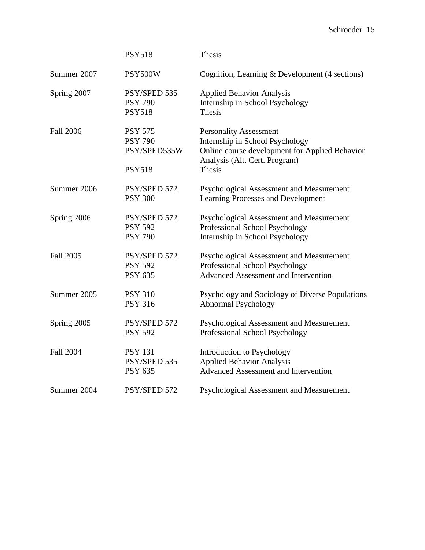|                  | <b>PSY518</b>                                                     | Thesis                                                                                                                                                        |
|------------------|-------------------------------------------------------------------|---------------------------------------------------------------------------------------------------------------------------------------------------------------|
| Summer 2007      | PSY500W                                                           | Cognition, Learning & Development (4 sections)                                                                                                                |
| Spring 2007      | PSY/SPED 535<br><b>PSY 790</b><br><b>PSY518</b>                   | <b>Applied Behavior Analysis</b><br>Internship in School Psychology<br>Thesis                                                                                 |
| <b>Fall 2006</b> | <b>PSY 575</b><br><b>PSY 790</b><br>PSY/SPED535W<br><b>PSY518</b> | <b>Personality Assessment</b><br>Internship in School Psychology<br>Online course development for Applied Behavior<br>Analysis (Alt. Cert. Program)<br>Thesis |
| Summer 2006      | PSY/SPED 572<br><b>PSY 300</b>                                    | Psychological Assessment and Measurement<br>Learning Processes and Development                                                                                |
| Spring 2006      | PSY/SPED 572<br><b>PSY 592</b><br><b>PSY 790</b>                  | Psychological Assessment and Measurement<br>Professional School Psychology<br>Internship in School Psychology                                                 |
| <b>Fall 2005</b> | PSY/SPED 572<br><b>PSY 592</b><br><b>PSY 635</b>                  | Psychological Assessment and Measurement<br>Professional School Psychology<br><b>Advanced Assessment and Intervention</b>                                     |
| Summer 2005      | <b>PSY 310</b><br><b>PSY 316</b>                                  | Psychology and Sociology of Diverse Populations<br>Abnormal Psychology                                                                                        |
| Spring 2005      | PSY/SPED 572<br><b>PSY 592</b>                                    | Psychological Assessment and Measurement<br>Professional School Psychology                                                                                    |
| <b>Fall 2004</b> | <b>PSY 131</b><br>PSY/SPED 535<br><b>PSY 635</b>                  | Introduction to Psychology<br><b>Applied Behavior Analysis</b><br><b>Advanced Assessment and Intervention</b>                                                 |
| Summer 2004      | PSY/SPED 572                                                      | Psychological Assessment and Measurement                                                                                                                      |